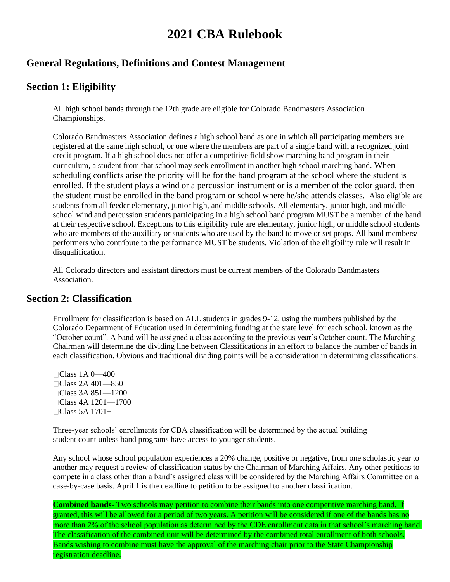# **2021 CBA Rulebook**

# **General Regulations, Definitions and Contest Management**

# **Section 1: Eligibility**

All high school bands through the 12th grade are eligible for Colorado Bandmasters Association Championships.

Colorado Bandmasters Association defines a high school band as one in which all participating members are registered at the same high school, or one where the members are part of a single band with a recognized joint credit program. If a high school does not offer a competitive field show marching band program in their curriculum, a student from that school may seek enrollment in another high school marching band. When scheduling conflicts arise the priority will be for the band program at the school where the student is enrolled. If the student plays a wind or a percussion instrument or is a member of the color guard, then the student must be enrolled in the band program or school where he/she attends classes. Also eligible are students from all feeder elementary, junior high, and middle schools. All elementary, junior high, and middle school wind and percussion students participating in a high school band program MUST be a member of the band at their respective school. Exceptions to this eligibility rule are elementary, junior high, or middle school students who are members of the auxiliary or students who are used by the band to move or set props. All band members/ performers who contribute to the performance MUST be students. Violation of the eligibility rule will result in disqualification.

All Colorado directors and assistant directors must be current members of the Colorado Bandmasters Association.

## **Section 2: Classification**

Enrollment for classification is based on ALL students in grades 9-12, using the numbers published by the Colorado Department of Education used in determining funding at the state level for each school, known as the "October count". A band will be assigned a class according to the previous year's October count. The Marching Chairman will determine the dividing line between Classifications in an effort to balance the number of bands in each classification. Obvious and traditional dividing points will be a consideration in determining classifications.

Class 1A 0—400 Class 2A 401—850 Class 3A 851—1200 Class 4A 1201—1700  $\Box$ Class 5A 1701+

Three-year schools' enrollments for CBA classification will be determined by the actual building student count unless band programs have access to younger students.

Any school whose school population experiences a 20% change, positive or negative, from one scholastic year to another may request a review of classification status by the Chairman of Marching Affairs. Any other petitions to compete in a class other than a band's assigned class will be considered by the Marching Affairs Committee on a case-by-case basis. April 1 is the deadline to petition to be assigned to another classification.

**Combined bands**- Two schools may petition to combine their bands into one competitive marching band. If granted, this will be allowed for a period of two years. A petition will be considered if one of the bands has no more than 2% of the school population as determined by the CDE enrollment data in that school's marching band. The classification of the combined unit will be determined by the combined total enrollment of both schools. Bands wishing to combine must have the approval of the marching chair prior to the State Championship registration deadline.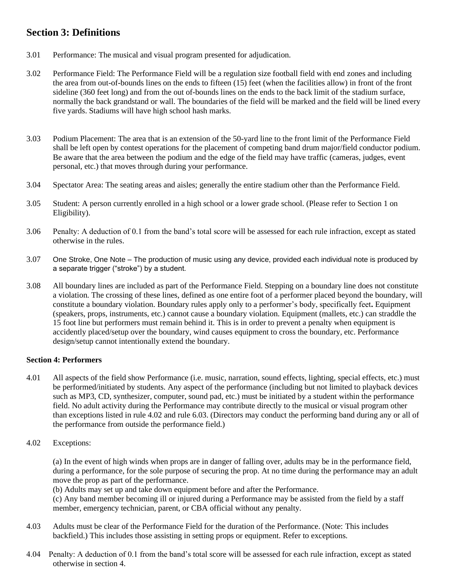# **Section 3: Definitions**

- 3.01 Performance: The musical and visual program presented for adjudication.
- 3.02 Performance Field: The Performance Field will be a regulation size football field with end zones and including the area from out-of-bounds lines on the ends to fifteen (15) feet (when the facilities allow) in front of the front sideline (360 feet long) and from the out of-bounds lines on the ends to the back limit of the stadium surface, normally the back grandstand or wall. The boundaries of the field will be marked and the field will be lined every five yards. Stadiums will have high school hash marks.
- 3.03 Podium Placement: The area that is an extension of the 50-yard line to the front limit of the Performance Field shall be left open by contest operations for the placement of competing band drum major/field conductor podium. Be aware that the area between the podium and the edge of the field may have traffic (cameras, judges, event personal, etc.) that moves through during your performance.
- 3.04 Spectator Area: The seating areas and aisles; generally the entire stadium other than the Performance Field.
- 3.05 Student: A person currently enrolled in a high school or a lower grade school. (Please refer to Section 1 on Eligibility).
- 3.06 Penalty: A deduction of 0.1 from the band's total score will be assessed for each rule infraction, except as stated otherwise in the rules.
- 3.07 One Stroke, One Note The production of music using any device, provided each individual note is produced by a separate trigger ("stroke") by a student.
- 3.08 All boundary lines are included as part of the Performance Field. Stepping on a boundary line does not constitute a violation. The crossing of these lines, defined as one entire foot of a performer placed beyond the boundary, will constitute a boundary violation. Boundary rules apply only to a performer's body, specifically feet**.** Equipment (speakers, props, instruments, etc.) cannot cause a boundary violation. Equipment (mallets, etc.) can straddle the 15 foot line but performers must remain behind it. This is in order to prevent a penalty when equipment is accidently placed/setup over the boundary, wind causes equipment to cross the boundary, etc. Performance design/setup cannot intentionally extend the boundary.

#### **Section 4: Performers**

- 4.01 All aspects of the field show Performance (i.e. music, narration, sound effects, lighting, special effects, etc.) must be performed/initiated by students. Any aspect of the performance (including but not limited to playback devices such as MP3, CD, synthesizer, computer, sound pad, etc.) must be initiated by a student within the performance field. No adult activity during the Performance may contribute directly to the musical or visual program other than exceptions listed in rule 4.02 and rule 6.03. (Directors may conduct the performing band during any or all of the performance from outside the performance field.)
- 4.02 Exceptions:

(a) In the event of high winds when props are in danger of falling over, adults may be in the performance field, during a performance, for the sole purpose of securing the prop. At no time during the performance may an adult move the prop as part of the performance.

(b) Adults may set up and take down equipment before and after the Performance.

(c) Any band member becoming ill or injured during a Performance may be assisted from the field by a staff member, emergency technician, parent, or CBA official without any penalty.

- 4.03 Adults must be clear of the Performance Field for the duration of the Performance. (Note: This includes backfield.) This includes those assisting in setting props or equipment. Refer to exceptions.
- 4.04 Penalty: A deduction of 0.1 from the band's total score will be assessed for each rule infraction, except as stated otherwise in section 4.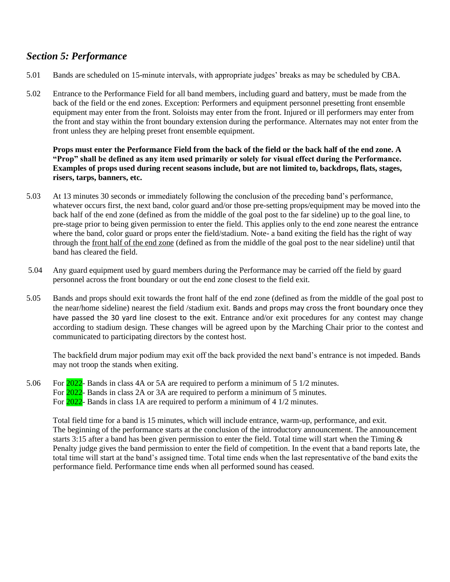# *Section 5: Performance*

- 5.01 Bands are scheduled on 15-minute intervals, with appropriate judges' breaks as may be scheduled by CBA.
- 5.02 Entrance to the Performance Field for all band members, including guard and battery, must be made from the back of the field or the end zones. Exception: Performers and equipment personnel presetting front ensemble equipment may enter from the front. Soloists may enter from the front. Injured or ill performers may enter from the front and stay within the front boundary extension during the performance. Alternates may not enter from the front unless they are helping preset front ensemble equipment.

**Props must enter the Performance Field from the back of the field or the back half of the end zone. A "Prop" shall be defined as any item used primarily or solely for visual effect during the Performance. Examples of props used during recent seasons include, but are not limited to, backdrops, flats, stages, risers, tarps, banners, etc.**

- 5.03 At 13 minutes 30 seconds or immediately following the conclusion of the preceding band's performance, whatever occurs first, the next band, color guard and/or those pre-setting props/equipment may be moved into the back half of the end zone (defined as from the middle of the goal post to the far sideline) up to the goal line, to pre-stage prior to being given permission to enter the field. This applies only to the end zone nearest the entrance where the band, color guard or props enter the field/stadium. Note- a band exiting the field has the right of way through the front half of the end zone (defined as from the middle of the goal post to the near sideline) until that band has cleared the field.
- 5.04 Any guard equipment used by guard members during the Performance may be carried off the field by guard personnel across the front boundary or out the end zone closest to the field exit.
- 5.05 Bands and props should exit towards the front half of the end zone (defined as from the middle of the goal post to the near/home sideline) nearest the field /stadium exit. Bands and props may cross the front boundary once they have passed the 30 yard line closest to the exit. Entrance and/or exit procedures for any contest may change according to stadium design. These changes will be agreed upon by the Marching Chair prior to the contest and communicated to participating directors by the contest host.

The backfield drum major podium may exit off the back provided the next band's entrance is not impeded. Bands may not troop the stands when exiting.

5.06 For 2022- Bands in class 4A or 5A are required to perform a minimum of 5 1/2 minutes. For 2022- Bands in class 2A or 3A are required to perform a minimum of 5 minutes. For 2022- Bands in class 1A are required to perform a minimum of 4 1/2 minutes.

Total field time for a band is 15 minutes, which will include entrance, warm-up, performance, and exit. The beginning of the performance starts at the conclusion of the introductory announcement. The announcement starts 3:15 after a band has been given permission to enter the field. Total time will start when the Timing  $\&$ Penalty judge gives the band permission to enter the field of competition. In the event that a band reports late, the total time will start at the band's assigned time. Total time ends when the last representative of the band exits the performance field. Performance time ends when all performed sound has ceased.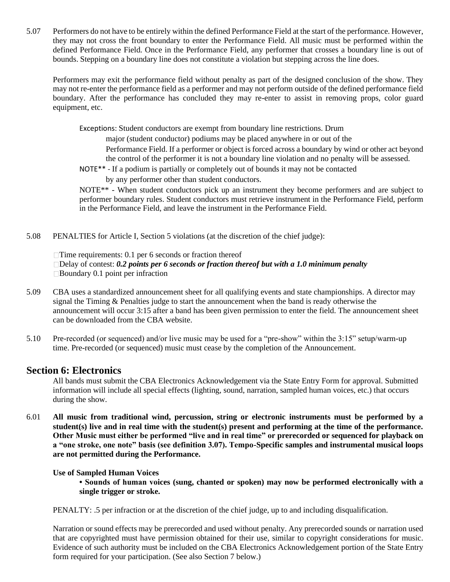5.07 Performers do not have to be entirely within the defined Performance Field at the start of the performance. However, they may not cross the front boundary to enter the Performance Field. All music must be performed within the defined Performance Field. Once in the Performance Field, any performer that crosses a boundary line is out of bounds. Stepping on a boundary line does not constitute a violation but stepping across the line does.

Performers may exit the performance field without penalty as part of the designed conclusion of the show. They may not re-enter the performance field as a performer and may not perform outside of the defined performance field boundary. After the performance has concluded they may re-enter to assist in removing props, color guard equipment, etc.

Exceptions: Student conductors are exempt from boundary line restrictions. Drum

major (student conductor) podiums may be placed anywhere in or out of the Performance Field. If a performer or object is forced across a boundary by wind or other act beyond the control of the performer it is not a boundary line violation and no penalty will be assessed.

NOTE\*\* - If a podium is partially or completely out of bounds it may not be contacted

by any performer other than student conductors.

NOTE\*\* - When student conductors pick up an instrument they become performers and are subject to performer boundary rules. Student conductors must retrieve instrument in the Performance Field, perform in the Performance Field, and leave the instrument in the Performance Field.

5.08 PENALTIES for Article I, Section 5 violations (at the discretion of the chief judge):

 $\Box$ Time requirements: 0.1 per 6 seconds or fraction thereof Delay of contest: *0.2 points per 6 seconds or fraction thereof but with a 1.0 minimum penalty*  $\Box$ Boundary 0.1 point per infraction

- 5.09 CBA uses a standardized announcement sheet for all qualifying events and state championships. A director may signal the Timing & Penalties judge to start the announcement when the band is ready otherwise the announcement will occur 3:15 after a band has been given permission to enter the field. The announcement sheet can be downloaded from the CBA website.
- 5.10 Pre-recorded (or sequenced) and/or live music may be used for a "pre-show" within the 3:15" setup/warm-up time. Pre-recorded (or sequenced) music must cease by the completion of the Announcement.

## **Section 6: Electronics**

All bands must submit the CBA Electronics Acknowledgement via the State Entry Form for approval. Submitted information will include all special effects (lighting, sound, narration, sampled human voices, etc.) that occurs during the show.

6.01 **All music from traditional wind, percussion, string or electronic instruments must be performed by a student(s) live and in real time with the student(s) present and performing at the time of the performance. Other Music must either be performed "live and in real time" or prerecorded or sequenced for playback on a "one stroke, one note" basis (see definition 3.07). Tempo-Specific samples and instrumental musical loops are not permitted during the Performance.**

#### **Use of Sampled Human Voices**

**• Sounds of human voices (sung, chanted or spoken) may now be performed electronically with a single trigger or stroke.** 

PENALTY: .5 per infraction or at the discretion of the chief judge, up to and including disqualification.

Narration or sound effects may be prerecorded and used without penalty. Any prerecorded sounds or narration used that are copyrighted must have permission obtained for their use, similar to copyright considerations for music. Evidence of such authority must be included on the CBA Electronics Acknowledgement portion of the State Entry form required for your participation. (See also Section 7 below.)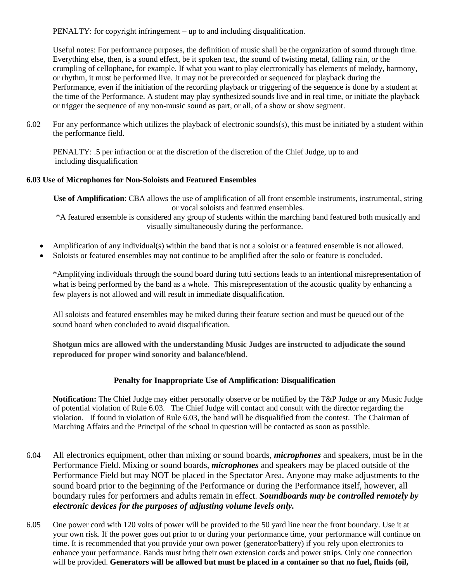PENALTY: for copyright infringement – up to and including disqualification.

Useful notes: For performance purposes, the definition of music shall be the organization of sound through time. Everything else, then, is a sound effect, be it spoken text, the sound of twisting metal, falling rain, or the crumpling of cellophane**,** for example. If what you want to play electronically has elements of melody, harmony, or rhythm, it must be performed live. It may not be prerecorded or sequenced for playback during the Performance, even if the initiation of the recording playback or triggering of the sequence is done by a student at the time of the Performance. A student may play synthesized sounds live and in real time, or initiate the playback or trigger the sequence of any non-music sound as part, or all, of a show or show segment.

6.02 For any performance which utilizes the playback of electronic sounds(s), this must be initiated by a student within the performance field.

PENALTY: .5 per infraction or at the discretion of the discretion of the Chief Judge, up to and including disqualification

#### **6.03 Use of Microphones for Non-Soloists and Featured Ensembles**

**Use of Amplification**: CBA allows the use of amplification of all front ensemble instruments, instrumental, string or vocal soloists and featured ensembles.

\*A featured ensemble is considered any group of students within the marching band featured both musically and visually simultaneously during the performance.

- Amplification of any individual(s) within the band that is not a soloist or a featured ensemble is not allowed.
- Soloists or featured ensembles may not continue to be amplified after the solo or feature is concluded.

\*Amplifying individuals through the sound board during tutti sections leads to an intentional misrepresentation of what is being performed by the band as a whole. This misrepresentation of the acoustic quality by enhancing a few players is not allowed and will result in immediate disqualification.

All soloists and featured ensembles may be miked during their feature section and must be queued out of the sound board when concluded to avoid disqualification.

**Shotgun mics are allowed with the understanding Music Judges are instructed to adjudicate the sound reproduced for proper wind sonority and balance/blend.**

## **Penalty for Inappropriate Use of Amplification: Disqualification**

**Notification:** The Chief Judge may either personally observe or be notified by the T&P Judge or any Music Judge of potential violation of Rule 6.03. The Chief Judge will contact and consult with the director regarding the violation. If found in violation of Rule 6.03, the band will be disqualified from the contest. The Chairman of Marching Affairs and the Principal of the school in question will be contacted as soon as possible.

- 6.04 All electronics equipment, other than mixing or sound boards, *microphones* and speakers, must be in the Performance Field. Mixing or sound boards, *microphones* and speakers may be placed outside of the Performance Field but may NOT be placed in the Spectator Area. Anyone may make adjustments to the sound board prior to the beginning of the Performance or during the Performance itself, however, all boundary rules for performers and adults remain in effect. *Soundboards may be controlled remotely by electronic devices for the purposes of adjusting volume levels only.*
- 6.05 One power cord with 120 volts of power will be provided to the 50 yard line near the front boundary. Use it at your own risk. If the power goes out prior to or during your performance time, your performance will continue on time. It is recommended that you provide your own power (generator/battery) if you rely upon electronics to enhance your performance. Bands must bring their own extension cords and power strips. Only one connection will be provided. Generators will be allowed but must be placed in a container so that no fuel, fluids (oil,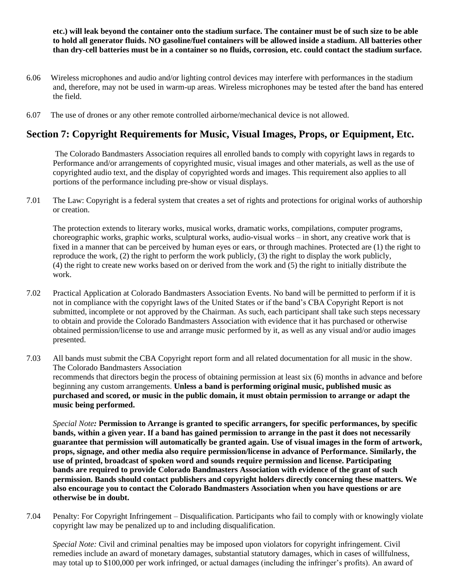**etc.) will leak beyond the container onto the stadium surface. The container must be of such size to be able to hold all generator fluids. NO gasoline/fuel containers will be allowed inside a stadium. All batteries other than dry-cell batteries must be in a container so no fluids, corrosion, etc. could contact the stadium surface.**

- 6.06 Wireless microphones and audio and/or lighting control devices may interfere with performances in the stadium and, therefore, may not be used in warm-up areas. Wireless microphones may be tested after the band has entered the field.
- 6.07 The use of drones or any other remote controlled airborne/mechanical device is not allowed.

## **Section 7: Copyright Requirements for Music, Visual Images, Props, or Equipment, Etc.**

The Colorado Bandmasters Association requires all enrolled bands to comply with copyright laws in regards to Performance and/or arrangements of copyrighted music, visual images and other materials, as well as the use of copyrighted audio text, and the display of copyrighted words and images. This requirement also applies to all portions of the performance including pre-show or visual displays.

7.01 The Law: Copyright is a federal system that creates a set of rights and protections for original works of authorship or creation.

The protection extends to literary works, musical works, dramatic works, compilations, computer programs, choreographic works, graphic works, sculptural works, audio-visual works – in short, any creative work that is fixed in a manner that can be perceived by human eyes or ears, or through machines. Protected are (1) the right to reproduce the work, (2) the right to perform the work publicly, (3) the right to display the work publicly, (4) the right to create new works based on or derived from the work and (5) the right to initially distribute the work.

- 7.02 Practical Application at Colorado Bandmasters Association Events. No band will be permitted to perform if it is not in compliance with the copyright laws of the United States or if the band's CBA Copyright Report is not submitted, incomplete or not approved by the Chairman. As such, each participant shall take such steps necessary to obtain and provide the Colorado Bandmasters Association with evidence that it has purchased or otherwise obtained permission/license to use and arrange music performed by it, as well as any visual and/or audio images presented.
- 7.03 All bands must submit the CBA Copyright report form and all related documentation for all music in the show. The Colorado Bandmasters Association recommends that directors begin the process of obtaining permission at least six (6) months in advance and before beginning any custom arrangements. **Unless a band is performing original music, published music as purchased and scored, or music in the public domain, it must obtain permission to arrange or adapt the music being performed.**

*Special Note:* **Permission to Arrange is granted to specific arrangers, for specific performances, by specific bands, within a given year. If a band has gained permission to arrange in the past it does not necessarily guarantee that permission will automatically be granted again. Use of visual images in the form of artwork, props, signage, and other media also require permission/license in advance of Performance. Similarly, the use of printed, broadcast of spoken word and sounds require permission and license. Participating bands are required to provide Colorado Bandmasters Association with evidence of the grant of such permission. Bands should contact publishers and copyright holders directly concerning these matters. We also encourage you to contact the Colorado Bandmasters Association when you have questions or are otherwise be in doubt.**

7.04 Penalty: For Copyright Infringement – Disqualification. Participants who fail to comply with or knowingly violate copyright law may be penalized up to and including disqualification.

*Special Note:* Civil and criminal penalties may be imposed upon violators for copyright infringement. Civil remedies include an award of monetary damages, substantial statutory damages, which in cases of willfulness, may total up to \$100,000 per work infringed, or actual damages (including the infringer's profits). An award of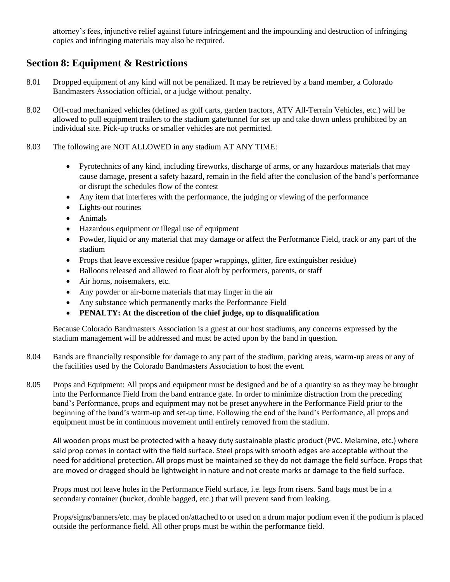attorney's fees, injunctive relief against future infringement and the impounding and destruction of infringing copies and infringing materials may also be required.

# **Section 8: Equipment & Restrictions**

- 8.01 Dropped equipment of any kind will not be penalized. It may be retrieved by a band member, a Colorado Bandmasters Association official, or a judge without penalty.
- 8.02 Off-road mechanized vehicles (defined as golf carts, garden tractors, ATV All-Terrain Vehicles, etc.) will be allowed to pull equipment trailers to the stadium gate/tunnel for set up and take down unless prohibited by an individual site. Pick-up trucks or smaller vehicles are not permitted.
- 8.03 The following are NOT ALLOWED in any stadium AT ANY TIME:
	- Pyrotechnics of any kind, including fireworks, discharge of arms, or any hazardous materials that may cause damage, present a safety hazard, remain in the field after the conclusion of the band's performance or disrupt the schedules flow of the contest
	- Any item that interferes with the performance, the judging or viewing of the performance
	- Lights-out routines
	- Animals
	- Hazardous equipment or illegal use of equipment
	- Powder, liquid or any material that may damage or affect the Performance Field, track or any part of the stadium
	- Props that leave excessive residue (paper wrappings, glitter, fire extinguisher residue)
	- Balloons released and allowed to float aloft by performers, parents, or staff
	- Air horns, noisemakers, etc.
	- Any powder or air-borne materials that may linger in the air
	- Any substance which permanently marks the Performance Field
	- **PENALTY: At the discretion of the chief judge, up to disqualification**

Because Colorado Bandmasters Association is a guest at our host stadiums, any concerns expressed by the stadium management will be addressed and must be acted upon by the band in question.

- 8.04 Bands are financially responsible for damage to any part of the stadium, parking areas, warm-up areas or any of the facilities used by the Colorado Bandmasters Association to host the event.
- 8.05 Props and Equipment: All props and equipment must be designed and be of a quantity so as they may be brought into the Performance Field from the band entrance gate. In order to minimize distraction from the preceding band's Performance, props and equipment may not be preset anywhere in the Performance Field prior to the beginning of the band's warm-up and set-up time. Following the end of the band's Performance, all props and equipment must be in continuous movement until entirely removed from the stadium.

All wooden props must be protected with a heavy duty sustainable plastic product (PVC. Melamine, etc.) where said prop comes in contact with the field surface. Steel props with smooth edges are acceptable without the need for additional protection. All props must be maintained so they do not damage the field surface. Props that are moved or dragged should be lightweight in nature and not create marks or damage to the field surface.

Props must not leave holes in the Performance Field surface, i.e. legs from risers. Sand bags must be in a secondary container (bucket, double bagged, etc.) that will prevent sand from leaking.

Props/signs/banners/etc. may be placed on/attached to or used on a drum major podium even if the podium is placed outside the performance field. All other props must be within the performance field.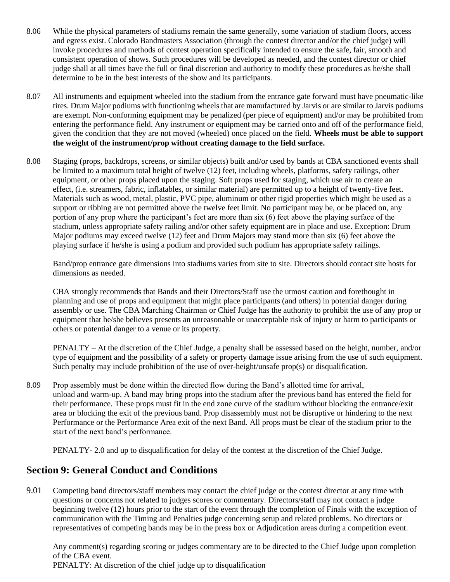- 8.06 While the physical parameters of stadiums remain the same generally, some variation of stadium floors, access and egress exist. Colorado Bandmasters Association (through the contest director and/or the chief judge) will invoke procedures and methods of contest operation specifically intended to ensure the safe, fair, smooth and consistent operation of shows. Such procedures will be developed as needed, and the contest director or chief judge shall at all times have the full or final discretion and authority to modify these procedures as he/she shall determine to be in the best interests of the show and its participants.
- 8.07 All instruments and equipment wheeled into the stadium from the entrance gate forward must have pneumatic-like tires. Drum Major podiums with functioning wheels that are manufactured by Jarvis or are similar to Jarvis podiums are exempt. Non-conforming equipment may be penalized (per piece of equipment) and/or may be prohibited from entering the performance field. Any instrument or equipment may be carried onto and off of the performance field, given the condition that they are not moved (wheeled) once placed on the field. **Wheels must be able to support the weight of the instrument/prop without creating damage to the field surface.**
- 8.08 Staging (props, backdrops, screens, or similar objects) built and/or used by bands at CBA sanctioned events shall be limited to a maximum total height of twelve (12) feet, including wheels, platforms, safety railings, other equipment, or other props placed upon the staging. Soft props used for staging, which use air to create an effect, (i.e. streamers, fabric, inflatables, or similar material) are permitted up to a height of twenty-five feet. Materials such as wood, metal, plastic, PVC pipe, aluminum or other rigid properties which might be used as a support or ribbing are not permitted above the twelve feet limit. No participant may be, or be placed on, any portion of any prop where the participant's feet are more than six (6) feet above the playing surface of the stadium, unless appropriate safety railing and/or other safety equipment are in place and use. Exception: Drum Major podiums may exceed twelve (12) feet and Drum Majors may stand more than six (6) feet above the playing surface if he/she is using a podium and provided such podium has appropriate safety railings.

Band/prop entrance gate dimensions into stadiums varies from site to site. Directors should contact site hosts for dimensions as needed.

CBA strongly recommends that Bands and their Directors/Staff use the utmost caution and forethought in planning and use of props and equipment that might place participants (and others) in potential danger during assembly or use. The CBA Marching Chairman or Chief Judge has the authority to prohibit the use of any prop or equipment that he/she believes presents an unreasonable or unacceptable risk of injury or harm to participants or others or potential danger to a venue or its property.

PENALTY – At the discretion of the Chief Judge, a penalty shall be assessed based on the height, number, and/or type of equipment and the possibility of a safety or property damage issue arising from the use of such equipment. Such penalty may include prohibition of the use of over-height/unsafe prop(s) or disqualification.

8.09 Prop assembly must be done within the directed flow during the Band's allotted time for arrival, unload and warm-up. A band may bring props into the stadium after the previous band has entered the field for their performance. These props must fit in the end zone curve of the stadium without blocking the entrance/exit area or blocking the exit of the previous band. Prop disassembly must not be disruptive or hindering to the next Performance or the Performance Area exit of the next Band. All props must be clear of the stadium prior to the start of the next band's performance.

PENALTY- 2.0 and up to disqualification for delay of the contest at the discretion of the Chief Judge.

# **Section 9: General Conduct and Conditions**

9.01 Competing band directors/staff members may contact the chief judge or the contest director at any time with questions or concerns not related to judges scores or commentary. Directors/staff may not contact a judge beginning twelve (12) hours prior to the start of the event through the completion of Finals with the exception of communication with the Timing and Penalties judge concerning setup and related problems. No directors or representatives of competing bands may be in the press box or Adjudication areas during a competition event.

Any comment(s) regarding scoring or judges commentary are to be directed to the Chief Judge upon completion of the CBA event. PENALTY: At discretion of the chief judge up to disqualification